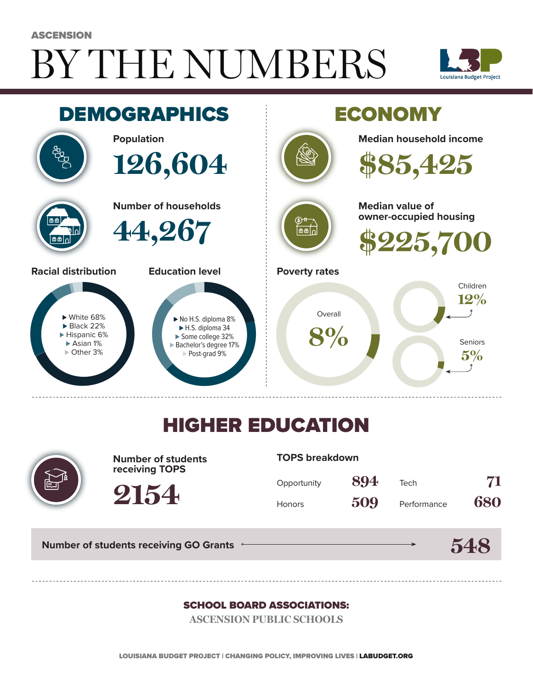# BY THE NUMBERS **ASCENSION**





## HIGHER EDUCATION



**Number of students receiving TOPS**

#### **TOPS breakdown**

| Opportunity   | 894 | Tech        | 71  |
|---------------|-----|-------------|-----|
| <b>Honors</b> | 509 | Performance | 680 |

**Number of students receiving GO Grants**

**2154**



#### SCHOOL BOARD ASSOCIATIONS:

**ASCENSION PUBLIC SCHOOLS**